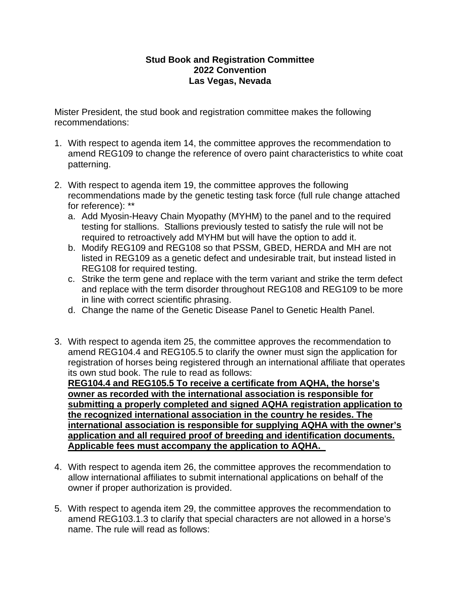## **Stud Book and Registration Committee 2022 Convention Las Vegas, Nevada**

Mister President, the stud book and registration committee makes the following recommendations:

- 1. With respect to agenda item 14, the committee approves the recommendation to amend REG109 to change the reference of overo paint characteristics to white coat patterning.
- 2. With respect to agenda item 19, the committee approves the following recommendations made by the genetic testing task force (full rule change attached for reference): \*\*
	- a. Add Myosin-Heavy Chain Myopathy (MYHM) to the panel and to the required testing for stallions. Stallions previously tested to satisfy the rule will not be required to retroactively add MYHM but will have the option to add it.
	- b. Modify REG109 and REG108 so that PSSM, GBED, HERDA and MH are not listed in REG109 as a genetic defect and undesirable trait, but instead listed in REG108 for required testing.
	- c. Strike the term gene and replace with the term variant and strike the term defect and replace with the term disorder throughout REG108 and REG109 to be more in line with correct scientific phrasing.
	- d. Change the name of the Genetic Disease Panel to Genetic Health Panel.
- 3. With respect to agenda item 25, the committee approves the recommendation to amend REG104.4 and REG105.5 to clarify the owner must sign the application for registration of horses being registered through an international affiliate that operates its own stud book. The rule to read as follows:

**REG104.4 and REG105.5 To receive a certificate from AQHA, the horse's owner as recorded with the international association is responsible for submitting a properly completed and signed AQHA registration application to the recognized international association in the country he resides. The international association is responsible for supplying AQHA with the owner's application and all required proof of breeding and identification documents. Applicable fees must accompany the application to AQHA.** 

- 4. With respect to agenda item 26, the committee approves the recommendation to allow international affiliates to submit international applications on behalf of the owner if proper authorization is provided.
- 5. With respect to agenda item 29, the committee approves the recommendation to amend REG103.1.3 to clarify that special characters are not allowed in a horse's name. The rule will read as follows: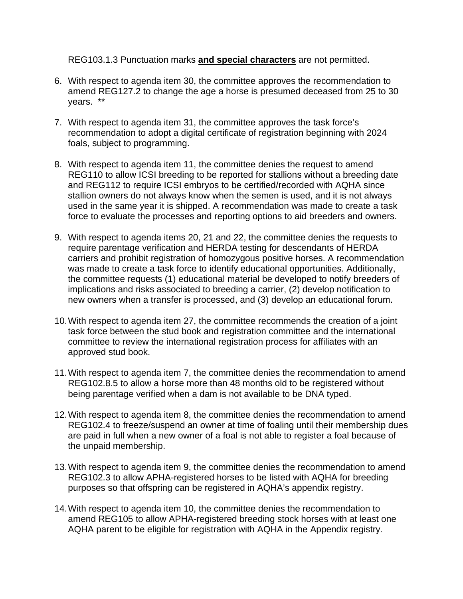REG103.1.3 Punctuation marks **and special characters** are not permitted.

- 6. With respect to agenda item 30, the committee approves the recommendation to amend REG127.2 to change the age a horse is presumed deceased from 25 to 30 years. \*\*
- 7. With respect to agenda item 31, the committee approves the task force's recommendation to adopt a digital certificate of registration beginning with 2024 foals, subject to programming.
- 8. With respect to agenda item 11, the committee denies the request to amend REG110 to allow ICSI breeding to be reported for stallions without a breeding date and REG112 to require ICSI embryos to be certified/recorded with AQHA since stallion owners do not always know when the semen is used, and it is not always used in the same year it is shipped. A recommendation was made to create a task force to evaluate the processes and reporting options to aid breeders and owners.
- 9. With respect to agenda items 20, 21 and 22, the committee denies the requests to require parentage verification and HERDA testing for descendants of HERDA carriers and prohibit registration of homozygous positive horses. A recommendation was made to create a task force to identify educational opportunities. Additionally, the committee requests (1) educational material be developed to notify breeders of implications and risks associated to breeding a carrier, (2) develop notification to new owners when a transfer is processed, and (3) develop an educational forum.
- 10.With respect to agenda item 27, the committee recommends the creation of a joint task force between the stud book and registration committee and the international committee to review the international registration process for affiliates with an approved stud book.
- 11.With respect to agenda item 7, the committee denies the recommendation to amend REG102.8.5 to allow a horse more than 48 months old to be registered without being parentage verified when a dam is not available to be DNA typed.
- 12.With respect to agenda item 8, the committee denies the recommendation to amend REG102.4 to freeze/suspend an owner at time of foaling until their membership dues are paid in full when a new owner of a foal is not able to register a foal because of the unpaid membership.
- 13.With respect to agenda item 9, the committee denies the recommendation to amend REG102.3 to allow APHA-registered horses to be listed with AQHA for breeding purposes so that offspring can be registered in AQHA's appendix registry.
- 14.With respect to agenda item 10, the committee denies the recommendation to amend REG105 to allow APHA-registered breeding stock horses with at least one AQHA parent to be eligible for registration with AQHA in the Appendix registry.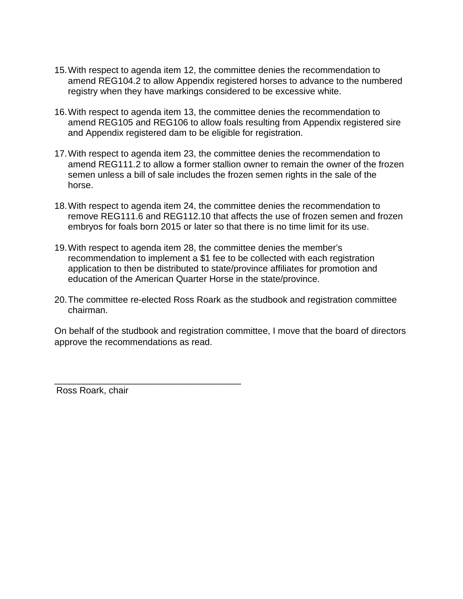- 15.With respect to agenda item 12, the committee denies the recommendation to amend REG104.2 to allow Appendix registered horses to advance to the numbered registry when they have markings considered to be excessive white.
- 16.With respect to agenda item 13, the committee denies the recommendation to amend REG105 and REG106 to allow foals resulting from Appendix registered sire and Appendix registered dam to be eligible for registration.
- 17.With respect to agenda item 23, the committee denies the recommendation to amend REG111.2 to allow a former stallion owner to remain the owner of the frozen semen unless a bill of sale includes the frozen semen rights in the sale of the horse.
- 18.With respect to agenda item 24, the committee denies the recommendation to remove REG111.6 and REG112.10 that affects the use of frozen semen and frozen embryos for foals born 2015 or later so that there is no time limit for its use.
- 19.With respect to agenda item 28, the committee denies the member's recommendation to implement a \$1 fee to be collected with each registration application to then be distributed to state/province affiliates for promotion and education of the American Quarter Horse in the state/province.
- 20.The committee re-elected Ross Roark as the studbook and registration committee chairman.

On behalf of the studbook and registration committee, I move that the board of directors approve the recommendations as read.

\_\_\_\_\_\_\_\_\_\_\_\_\_\_\_\_\_\_\_\_\_\_\_\_\_\_\_\_\_\_\_\_\_\_\_\_\_ Ross Roark, chair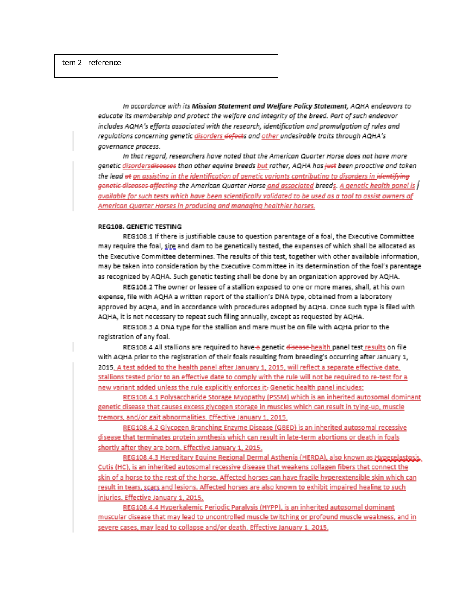In accordance with its Mission Statement and Welfare Policy Statement. AQHA endeavors to educate its membership and protect the welfare and intearity of the breed. Part of such endeavor includes AQHA's efforts associated with the research, identification and promulaation of rules and reaulations concerning genetic disorders <del>defect</del>s and other undesirable traits through AQHA's governance process.

In that reaard, researchers have noted that the American Quarter Horse does not have more genetic disorders<del>diseases</del> than other equine breeds but rather, AQHA has just been proactive and taken the lead e<del>t</del> on assisting in the identification of genetic variants contributing to disorders in i<del>dentifying</del> genetic diseases affecting the American Quarter Horse and associated breeds. A genetic health panel is / available for such tests which have been scientifically validated to be used as a tool to assist owners of American Quarter Horses in producing and managing healthier horses.

## REG108, GENETIC TESTING

REG108.1 If there is justifiable cause to question parentage of a foal, the Executive Committee may require the foal, sire and dam to be genetically tested, the expenses of which shall be allocated as the Executive Committee determines. The results of this test, together with other available information, may be taken into consideration by the Executive Committee in its determination of the foal's parentage as recognized by AQHA. Such genetic testing shall be done by an organization approved by AQHA.

REG108.2 The owner or lessee of a stallion exposed to one or more mares, shall, at his own expense, file with AQHA a written report of the stallion's DNA type, obtained from a laboratory approved by AQHA, and in accordance with procedures adopted by AQHA. Once such type is filed with AQHA, it is not necessary to repeat such filing annually, except as requested by AQHA.

REG108.3 A DNA type for the stallion and mare must be on file with AQHA prior to the registration of any foal.

REG108.4 All stallions are required to have-a genetic disease-health panel test results on file with AQHA prior to the registration of their foals resulting from breeding's occurring after January 1, 2015. A test added to the health panel after January 1, 2015, will reflect a separate effective date. Stallions tested prior to an effective date to comply with the rule will not be required to re-test for a new variant added unless the rule explicitly enforces it. Genetic health panel includes:

REG108.4.1 Polysaccharide Storage Myopathy (PSSM) which is an inherited autosomal dominant genetic disease that causes excess glycogen storage in muscles which can result in tying-up, muscle tremors, and/or gait abnormalities. Effective January 1, 2015.

REG108.4.2 Glycogen Branching Enzyme Disease (GBED) is an inherited autosomal recessive disease that terminates protein synthesis which can result in late-term abortions or death in foals shortly after they are born. Effective January 1, 2015.

REG108.4.3 Hereditary Equine Regional Dermal Asthenia (HERDA), also known as Hyperelastosis, Cutis (HC), is an inherited autosomal recessive disease that weakens collagen fibers that connect the skin of a horse to the rest of the horse. Affected horses can have fragile hyperextensible skin which can result in tears, scars and lesions. Affected horses are also known to exhibit impaired healing to such injuries. Effective January 1, 2015.

REG108.4.4 Hyperkalemic Periodic Paralysis (HYPP), is an inherited autosomal dominant muscular disease that may lead to uncontrolled muscle twitching or profound muscle weakness, and in severe cases, may lead to collapse and/or death. Effective January 1, 2015.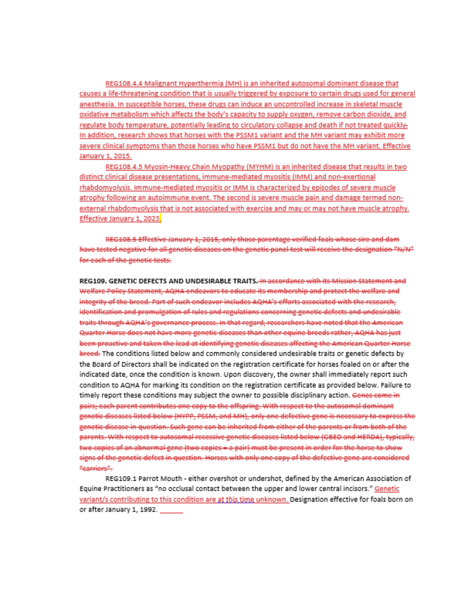REG108.4.4 Malignant Hyperthermia (MH) is an inherited autosomal dominant disease that causes a life-threatening condition that is usually triggered by exposure to certain drugs used for general anesthesia. In susceptible horses, these drugs can induce an uncontrolled increase in skeletal muscle oxidative metabolism which affects the body's capacity to supply oxygen, remove carbon dioxide, and regulate body temperature, potentially leading to circulatory collapse and death if not treated quickly-In addition, research shows that horses with the PSSM1 variant and the MH variant may exhibit more severe clinical symptoms than those horses who have PSSM1 but do not have the MH variant. Effective January 1, 2015.

REG108.4.5 Myosin-Heavy Chain Myopathy (MYHM) is an inherited disease that results in two distinct clinical disease presentations, immune-mediated myositis (IMM) and non-exertional rhabdomyolysis. Immune-mediated myositis or IMM is characterized by episodes of severe muscle atrophy following an autoimmune event. The second is severe muscle pain and damage termed nonexternal rhabdomyolysis that is not associated with exercise and may or may not have muscle atrophy. Effective January 1, 2023.

REG108.5 Effective January 1, 2015, only those parentage verified foals whose sire and dam have tested negative for all genetic diseases on the genetic panel test will receive the designation "N/N" for each of the genetic tests.

REG109, GENETIC DEFECTS AND UNDESIRABLE TRAITS. In accordance with its Mission Statement and Welfare Policy Statement, AQHA endeavors to educate its membership and protect the welfare and integrity of the breed. Part of such endeavor includes AQHA's efforts associated with the research. identification and promulgation of rules and regulations concerning genetic defects and undesirable traits through AQHA's governance process. In that regard, researchers have noted that the American Quarter Horse does not have more genetic diseases than other equine breeds rather, AQHA has just been proactive and taken the lead at identifying genetic diseases affecting the American Quarter Horse breed. The conditions listed below and commonly considered undesirable traits or genetic defects by the Board of Directors shall be indicated on the registration certificate for horses foaled on or after the indicated date, once the condition is known. Upon discovery, the owner shall immediately report such condition to AQHA for marking its condition on the registration certificate as provided below. Failure to timely report these conditions may subject the owner to possible disciplinary action. Genes come in pairs, each parent contributes one copy to the offspring. With respect to the autosomal dominant genetic diseases listed below (HYPP, PSSM, and MH), only one defective gene is necessary to express the genetic disease in question. Such gene can be inherited from either of the parents or from both of the parents. With respect to autosomal recessive genetic diseases listed below (GBED and HERDA), typically, two copies of an abnormal gene (two copies = a pair) must be present in order for the horse to show signs of the genetic defect in question. Horses with only one copy of the defective gene are considered "carriers".

REG109.1 Parrot Mouth - either overshot or undershot, defined by the American Association of Equine Practitioners as "no occlusal contact between the upper and lower central incisors." Genetic variant/s contributing to this condition are at this time unknown. Designation effective for foals born on or after January 1, 1992.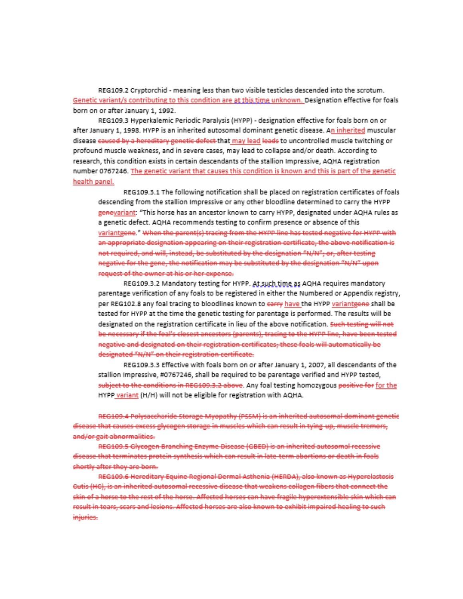REG109.2 Cryptorchid - meaning less than two visible testicles descended into the scrotum. Genetic variant/s contributing to this condition are at this time unknown. Designation effective for foals born on or after January 1, 1992.

REG109.3 Hyperkalemic Periodic Paralysis (HYPP) - designation effective for foals born on or after January 1, 1998. HYPP is an inherited autosomal dominant genetic disease. An inherited muscular disease caused by a hereditary genetic defect that may lead leads to uncontrolled muscle twitching or profound muscle weakness, and in severe cases, may lead to collapse and/or death. According to research, this condition exists in certain descendants of the stallion Impressive, AQHA registration number 0767246. The genetic variant that causes this condition is known and this is part of the genetic health panel.

REG109.3.1 The following notification shall be placed on registration certificates of foals descending from the stallion Impressive or any other bloodline determined to carry the HYPP genevariant: "This horse has an ancestor known to carry HYPP, designated under AQHA rules as a genetic defect. AQHA recommends testing to confirm presence or absence of this variantgene." When the parent(s) tracing from the HYPP line has tested negative for HYPP with an appropriate designation appearing on their registration certificate, the above notification is not required, and will, instead, be substituted by the designation "N/N"; or, after testing negative for the gene, the notification may be substituted by the designation "N/N" upon request of the owner at his or her expense.

REG109.3.2 Mandatory testing for HYPP. At such time as AQHA requires mandatory parentage verification of any foals to be registered in either the Numbered or Appendix registry, per REG102.8 any foal tracing to bloodlines known to carry have the HYPP variantgene shall be tested for HYPP at the time the genetic testing for parentage is performed. The results will be designated on the registration certificate in lieu of the above notification. Such testing will not be necessary if the foal's closest ancestors (parents), tracing to the HYPP line, have been tested negative and designated on their registration certificates, these foals will automatically be designated "N/N" on their registration certificate.

REG109.3.3 Effective with foals born on or after January 1, 2007, all descendants of the stallion Impressive, #0767246, shall be required to be parentage verified and HYPP tested, subject to the conditions in REG109.3.2 above. Any foal testing homozygous positive for for the HYPP variant (H/H) will not be eligible for registration with AQHA.

REG109.4 Polysaccharide Storage Myopathy (PSSM) is an inherited autosomal dominant genetic disease that causes excess glycogen storage in muscles which can result in tying up, muscle tremors, and/or gait abnormalities.

REG109.5 Glycogen Branching Enzyme Disease (GBED) is an inherited autosomal recessive disease that terminates protein synthesis which can result in late term abortions or death in foals shortly after they are born.

REG109.6 Hereditary Equine Regional Dermal Asthenia (HERDA), also known as Hyperelastosis Gutis (HC), is an inherited autosomal recessive disease that weakens collagen fibers that connect the skin of a horse to the rest of the horse. Affected horses can have fragile hyperextensible skin which can result in tears, scars and lesions. Affected horses are also known to exhibit impaired healing to such injuries.